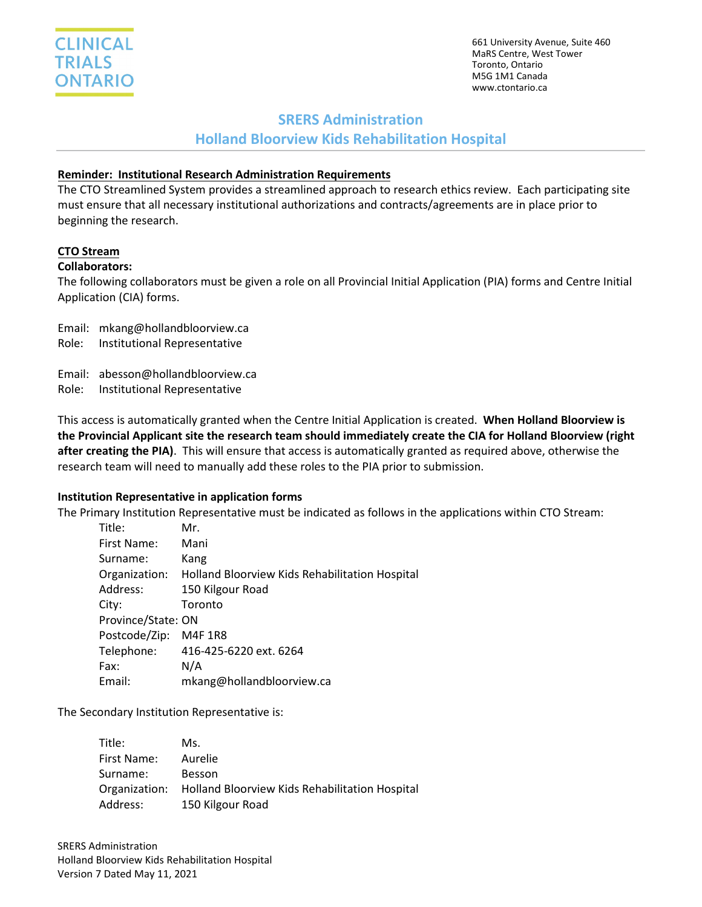

661 University Avenue, Suite 460 MaRS Centre, West Tower Toronto, Ontario M5G 1M1 Canada www.ctontario.ca

## **SRERS Administration**

# **Holland Bloorview Kids Rehabilitation Hospital**

### **Reminder: Institutional Research Administration Requirements**

The CTO Streamlined System provides a streamlined approach to research ethics review. Each participating site must ensure that all necessary institutional authorizations and contracts/agreements are in place prior to beginning the research.

### **CTO Stream**

#### **Collaborators:**

The following collaborators must be given a role on all Provincial Initial Application (PIA) forms and Centre Initial Application (CIA) forms.

Email: mkang@hollandbloorview.ca

Role: Institutional Representative

Email: abesson@hollandbloorview.ca

Role: Institutional Representative

This access is automatically granted when the Centre Initial Application is created. **When Holland Bloorview is the Provincial Applicant site the research team should immediately create the CIA for Holland Bloorview (right after creating the PIA)**. This will ensure that access is automatically granted as required above, otherwise the research team will need to manually add these roles to the PIA prior to submission.

### **Institution Representative in application forms**

The Primary Institution Representative must be indicated as follows in the applications within CTO Stream:

| Title:             | Mr.                                            |
|--------------------|------------------------------------------------|
| First Name:        | Mani                                           |
| Surname:           | Kang                                           |
| Organization:      | Holland Bloorview Kids Rehabilitation Hospital |
| Address:           | 150 Kilgour Road                               |
| City:              | Toronto                                        |
| Province/State: ON |                                                |
| Postcode/Zip:      | M4F 1R8                                        |
| Telephone:         | 416-425-6220 ext. 6264                         |
| Fax:               | N/A                                            |
| Email:             | mkang@hollandbloorview.ca                      |

The Secondary Institution Representative is:

| Title:        | Ms.                                                   |
|---------------|-------------------------------------------------------|
| First Name:   | Aurelie                                               |
| Surname:      | <b>Besson</b>                                         |
| Organization: | <b>Holland Bloorview Kids Rehabilitation Hospital</b> |
| Address:      | 150 Kilgour Road                                      |

SRERS Administration Holland Bloorview Kids Rehabilitation Hospital Version 7 Dated May 11, 2021